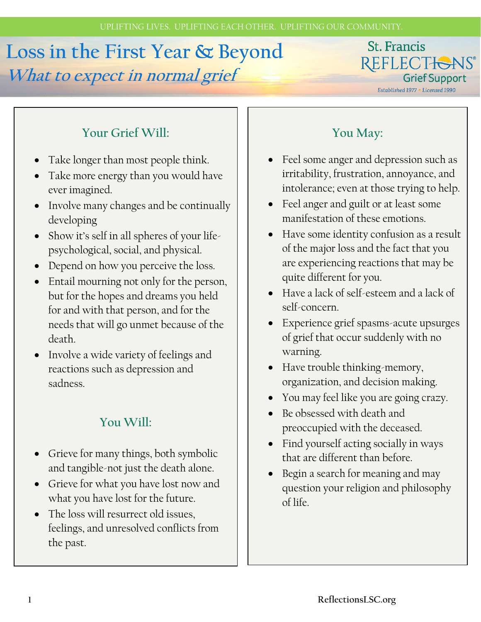# **Loss in the First Year & Beyond What to expect in normal grief**

#### St. Francis REFLECTIONS® **Grief Support**

Established 1977 . Licensed 1990

# **Your Grief Will:**

- Take longer than most people think.
- Take more energy than you would have ever imagined.
- Involve many changes and be continually developing
- Show it's self in all spheres of your lifepsychological, social, and physical.
- Depend on how you perceive the loss.
- Entail mourning not only for the person, but for the hopes and dreams you held for and with that person, and for the needs that will go unmet because of the death.
- Involve a wide variety of feelings and reactions such as depression and sadness.

#### **You Will:**

- Grieve for many things, both symbolic and tangible-not just the death alone.
- Grieve for what you have lost now and what you have lost for the future.
- The loss will resurrect old issues, feelings, and unresolved conflicts from the past.

# **You May:**

- Feel some anger and depression such as irritability, frustration, annoyance, and intolerance; even at those trying to help.
- Feel anger and guilt or at least some manifestation of these emotions.
- Have some identity confusion as a result of the major loss and the fact that you are experiencing reactions that may be quite different for you.
- Have a lack of self-esteem and a lack of self-concern.
- Experience grief spasms-acute upsurges of grief that occur suddenly with no warning.
- Have trouble thinking-memory, organization, and decision making.
- You may feel like you are going crazy.
- Be obsessed with death and preoccupied with the deceased.
- Find yourself acting socially in ways that are different than before.
- Begin a search for meaning and may question your religion and philosophy of life.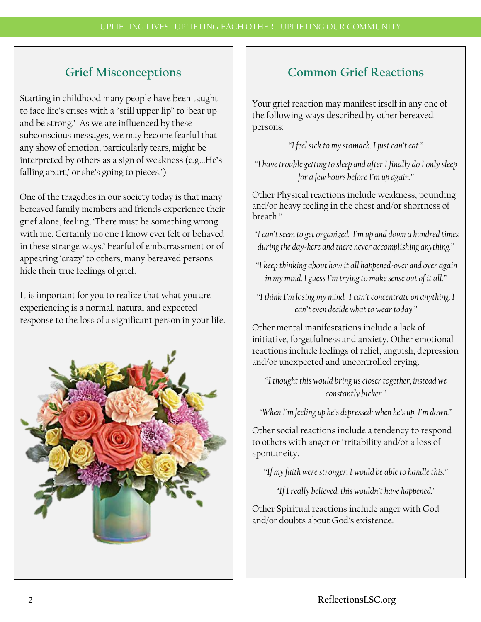# **Grief Misconceptions**

Starting in childhood many people have been taught to face life's crises with a "still upper lip" to 'bear up and be strong.' As we are influenced by these subconscious messages, we may become fearful that any show of emotion, particularly tears, might be interpreted by others as a sign of weakness (e.g...He's falling apart,' or she's going to pieces.')

One of the tragedies in our society today is that many bereaved family members and friends experience their grief alone, feeling, 'There must be something wrong with me. Certainly no one I know ever felt or behaved in these strange ways.' Fearful of embarrassment or of appearing 'crazy' to others, many bereaved persons hide their true feelings of grief.

It is important for you to realize that what you are experiencing is a normal, natural and expected response to the loss of a significant person in your life.



#### **Common Grief Reactions**

Your grief reaction may manifest itself in any one of the following ways described by other bereaved persons:

*"I feel sick to my stomach. I just can't eat."*

*"I have trouble getting to sleep and after I finally do I only sleep for a few hours before I'm up again."*

Other Physical reactions include weakness, pounding and/or heavy feeling in the chest and/or shortness of breath."

- *"I can't seem to get organized. I'm up and down a hundred times during the day-here and there never accomplishing anything."*
- *"I keep thinking about how it all happened-over and over again in my mind. I guess I'm trying to make sense out of it all."*
- *"I think I'm losing my mind. I can't concentrate on anything. I can't even decide what to wear today."*

Other mental manifestations include a lack of initiative, forgetfulness and anxiety. Other emotional reactions include feelings of relief, anguish, depression and/or unexpected and uncontrolled crying.

*"I thought this would bring us closer together, instead we constantly bicker."*

*"When I'm feeling up he's depressed: when he's up, I'm down."*

Other social reactions include a tendency to respond to others with anger or irritability and/or a loss of spontaneity.

*"If my faith were stronger, I would be able to handle this."*

*"If I really believed, this wouldn't have happened."*

Other Spiritual reactions include anger with God and/or doubts about God's existence.